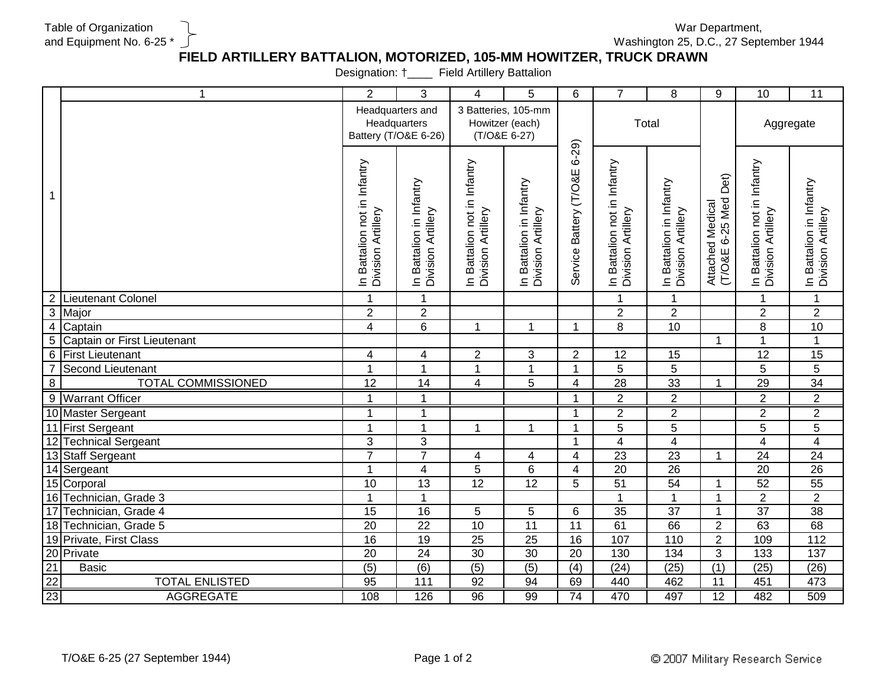Table of Organization and Equipment No. 6-25 \*

War Department, Washington 25, D.C., 27 September 1944

## **FIELD ARTILLERY BATTALION, MOTORIZED, 105-MM HOWITZER, TRUCK DRAWN**

Designation: †\_\_\_\_ Field Artillery Battalion

|                         | $\mathbf 1$                                         | $\overline{2}$                                           | $\mathbf{3}$                                   | 4                                                      | 5                                              | 6                                  | $\overline{7}$                                     | 8                                              | 9                                           | 10                                                 | 11                                             |
|-------------------------|-----------------------------------------------------|----------------------------------------------------------|------------------------------------------------|--------------------------------------------------------|------------------------------------------------|------------------------------------|----------------------------------------------------|------------------------------------------------|---------------------------------------------|----------------------------------------------------|------------------------------------------------|
|                         |                                                     | Headquarters and<br>Headquarters<br>Battery (T/O&E 6-26) |                                                | 3 Batteries, 105-mm<br>Howitzer (each)<br>(T/O&E 6-27) |                                                |                                    | Total                                              |                                                |                                             | Aggregate                                          |                                                |
| $\mathbf 1$             |                                                     | In Battalion not in Infantry<br>Division Artillery       | In Battalion in Infantry<br>Division Artillery | In Battalion not in Infantry<br>Division Artillery     | In Battalion in Infantry<br>Division Artillery | $6 - 29$<br>Service Battery (T/O&E | In Battalion not in Infantry<br>Division Artillery | In Battalion in Infantry<br>Division Artillery | Det)<br>Attached Medical<br>(T/O&E 6-25 Med | In Battalion not in Infantry<br>Division Artillery | In Battalion in Infantry<br>Division Artillery |
| $\overline{2}$          | Lieutenant Colonel                                  | $\mathbf{1}$                                             | $\mathbf{1}$                                   |                                                        |                                                |                                    | $\mathbf{1}$                                       | $\mathbf{1}$                                   |                                             | -1                                                 | 1                                              |
| 3                       | Major                                               | $\boldsymbol{2}$                                         | $\overline{2}$                                 |                                                        |                                                |                                    | $\overline{2}$                                     | $\overline{2}$                                 |                                             | $\overline{2}$                                     | $\overline{2}$                                 |
| $\overline{\mathbf{4}}$ | Captain                                             | $\overline{4}$                                           | 6                                              | $\mathbf{1}$                                           | $\mathbf{1}$                                   | 1                                  | 8                                                  | 10                                             |                                             | 8                                                  | 10                                             |
| $\overline{5}$          | Captain or First Lieutenant                         |                                                          |                                                |                                                        |                                                |                                    |                                                    |                                                | $\mathbf 1$                                 | 1                                                  | $\mathbf{1}$                                   |
| $\,6\,$                 | <b>First Lieutenant</b>                             | $\overline{\mathbf{4}}$                                  | $\overline{\mathbf{4}}$                        | $\overline{2}$                                         | 3                                              | $\overline{2}$                     | 12                                                 | 15                                             |                                             | 12                                                 | 15                                             |
| $\overline{7}$          | Second Lieutenant                                   | $\overline{1}$                                           | $\mathbf{1}$                                   | $\mathbf{1}$                                           | $\mathbf{1}$                                   | 1                                  | 5                                                  | 5                                              |                                             | 5                                                  | $\overline{5}$                                 |
| 8                       | <b>TOTAL COMMISSIONED</b>                           | $\overline{12}$                                          | 14                                             | $\overline{4}$                                         | 5                                              | 4                                  | 28                                                 | 33                                             |                                             | 29                                                 | $\overline{34}$                                |
|                         | 9 Warrant Officer                                   | $\mathbf 1$                                              | $\mathbf 1$                                    |                                                        |                                                | 1                                  | $\boldsymbol{2}$                                   | $\boldsymbol{2}$                               |                                             | $\mathbf{2}$                                       | $\overline{2}$                                 |
|                         | 10 Master Sergeant                                  | 1                                                        | 1                                              |                                                        |                                                | 1                                  | $\overline{2}$                                     | $\overline{2}$                                 |                                             | $\overline{2}$                                     | $\overline{2}$                                 |
|                         | 11 First Sergeant                                   | 1                                                        | 1                                              | $\mathbf{1}$                                           | $\mathbf{1}$                                   | $\mathbf 1$                        | 5                                                  | 5                                              |                                             | 5                                                  | $\overline{5}$                                 |
| 12                      | <b>Technical Sergeant</b>                           | $\mathbf{3}$                                             | 3                                              |                                                        |                                                | $\mathbf 1$                        | $\overline{\mathbf{4}}$                            | $\overline{4}$                                 |                                             | $\overline{4}$                                     | $\overline{4}$                                 |
|                         | 13 Staff Sergeant                                   | $\overline{7}$                                           | $\overline{7}$                                 | 4                                                      | 4                                              | 4                                  | $\overline{23}$                                    | $\overline{23}$                                | 1                                           | $\overline{24}$                                    | 24                                             |
|                         | 14 Sergeant                                         | $\mathbf{1}$                                             | $\overline{\mathbf{4}}$                        | $\sqrt{5}$                                             | 6                                              | 4                                  | $\overline{20}$                                    | $\overline{26}$                                |                                             | 20                                                 | $\overline{26}$                                |
|                         | 15 Corporal                                         | 10                                                       | $\overline{13}$                                | $\overline{12}$                                        | $\overline{12}$                                | 5                                  | $\overline{51}$                                    | 54                                             |                                             | 52                                                 | 55                                             |
| 16                      | Technician, Grade 3                                 | 1                                                        | $\mathbf{1}$                                   |                                                        |                                                |                                    | $\overline{1}$                                     | $\overline{1}$                                 |                                             | $\overline{2}$                                     | $\overline{2}$                                 |
| $\overline{17}$         | Technician, Grade 4                                 | 15                                                       | 16                                             | 5                                                      | 5                                              | 6                                  | $\overline{35}$                                    | 37                                             |                                             | 37                                                 | $\overline{38}$                                |
| 18                      | Technician, Grade 5                                 | $\overline{20}$                                          | $\overline{22}$                                | 10                                                     | $\overline{11}$                                | 11                                 | 61                                                 | 66                                             | $\overline{2}$                              | 63                                                 | 68                                             |
|                         | 19 Private, First Class                             | 16                                                       | 19                                             | $\overline{25}$                                        | $\overline{25}$                                | $\overline{16}$                    | 107                                                | 110                                            | $\overline{2}$                              | 109                                                | 112                                            |
|                         |                                                     | $\overline{20}$                                          | $\overline{24}$                                | 30                                                     | $\overline{30}$                                | 20                                 | 130                                                | 134                                            | 3                                           | 133                                                | 137                                            |
|                         | Basic                                               | (5)                                                      | (6)                                            | (5)                                                    | (5)                                            | (4)                                | (24)                                               | (25)                                           | (1)                                         | (25)                                               | (26)                                           |
|                         | <b>TOTAL ENLISTED</b>                               | 95                                                       | 111                                            | 92                                                     | 94                                             | 69                                 | 440                                                | 462                                            | 11                                          | 451                                                | 473                                            |
|                         | 20 Private<br>21 Basic<br>22 23<br><b>AGGREGATE</b> | 108                                                      | 126                                            | 96                                                     | 99                                             | $\overline{74}$                    | 470                                                | 497                                            | $\overline{12}$                             | 482                                                | 509                                            |